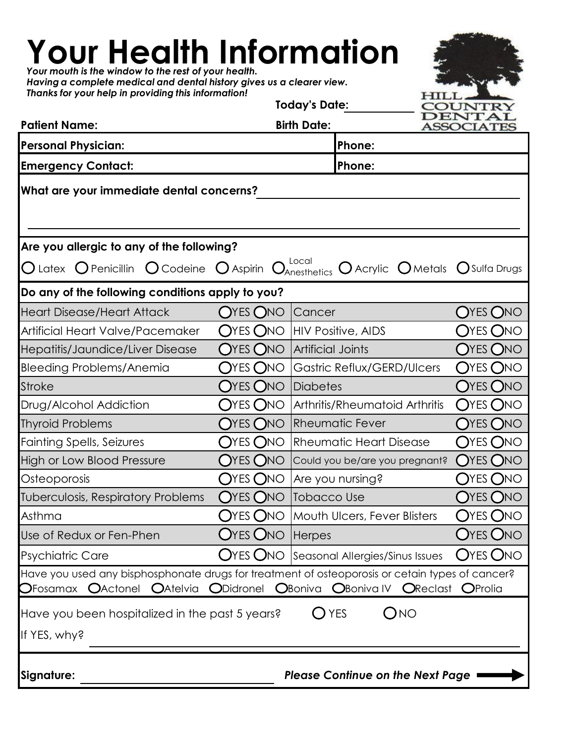**Your Health Information Your Health Information** *Your mouth is the window to the rest of your health. Having a complete medical and dental history gives us a clearer view. Thanks for your help in providing this information!* **Today's Date:** OUNTF DENTAI **Patient Name: Birth Date: ASSOCIATE Personal Physician: Phone: Emergency Contact: Phone: What are your immediate dental concerns? Are you allergic to any of the following?** Latex  $\bigcirc$  Penicillin  $\bigcirc$  Codeine  $\bigcirc$  Aspirin  $\bigcirc$   $_{\!\!\!\!\!\!\!\!}^{\text{\tiny\it Local}}$   $\bigcirc$  Acrylic  $\bigcirc$  Metals  $\bigcirc$  Sulfa Drugs Anesthetics **Do any of the following conditions apply to you?** Heart Disease/Heart Attack CYES ONO Cancer CHES ONO Artificial Heart Valve/Pacemaker  $\;\;\bigcirc$ YES  $\bigcirc$ NO |HIV Positive, AIDS  $\;\;\;\;\bigcirc$ YES  $\bigcirc$ NO Hepatitis/Jaundice/Liver Disease  $\hbox{O}$ YES  $\hbox{O}$ NO |Artificial Joints  $\hbox{O}$ YES  $\hbox{O}$ NO Bleeding Problems/Anemia  $O$ YES  $O$ NO Gastric Reflux/GERD/Ulcers  $O$ YES  $O$ NO Stroke YES NO Diabetes YES NO

Thyroid Problems  $O$ YES  $O$ NO Rheumatic Fever  $O$ YES  $O$ NO Fainting Spells, Seizures  $O$ YES  $O$ NO Rheumatic Heart Disease  $O$ YES  $O$ NO High or Low Blood Pressure  $\bigcirc$ YES  $\bigcirc$ NO  $\bigcirc$ could you be/are you pregnant?  $\bigcirc$ YES  $\bigcirc$ NO Osteoporosis CYES ONO Are you nursing? CYES ONO Tuberculosis, Respiratory Problems  $\,$  OYES ONO |Tobacco Use  $\,$   $\,$  OYES ONO  $\,$ Asthma  $O$ YES  $O$ NO |Mouth Ulcers, Fever Blisters  $O$ YES  $O$ NO Use of Redux or Fen-Phen  $O$ YES  $O$ NO Herpes  $O$ YES  $O$ NO  $O$ Psychiatric Care  $O$ YES  $O$ NO Seasonal Allergies/Sinus Issues  $O$ YES  $O$ NO Have you used any bisphosphonate drugs for treatment of osteoporosis or cetain types of cancer?  $O$ Fosamax  $O$ Actonel  $O$ Atelvia  $O$ Didronel  $O$ Boniva  $O$ Boniva IV  $O$ Reclast  $O$ Prolia Have you been hospitalized in the past 5 years?  $O$  YES  $O$  NO If YES, why? **Signature:** *Please Continue on the Next Page* Rheumatic Fever

Drug/Alcohol Addiction  $O$ YES  $O$ NO |Arthritis/Rheumatoid Arthritis  $O$ YES  $O$ NO